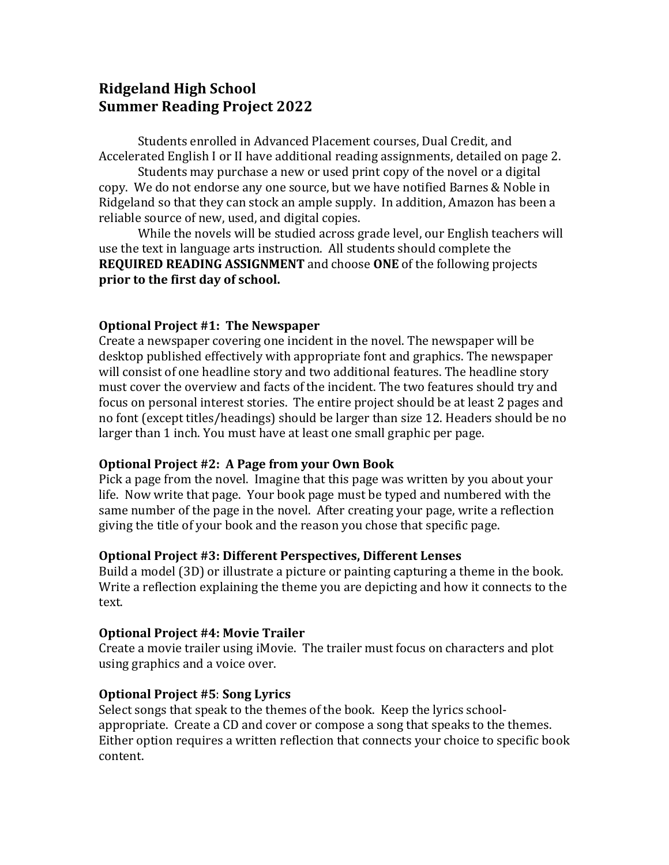# **Ridgeland High School Summer Reading Project 2022**

Students enrolled in Advanced Placement courses, Dual Credit, and Accelerated English I or II have additional reading assignments, detailed on page 2.

Students may purchase a new or used print copy of the novel or a digital copy. We do not endorse any one source, but we have notified Barnes & Noble in Ridgeland so that they can stock an ample supply. In addition, Amazon has been a reliable source of new, used, and digital copies.

While the novels will be studied across grade level, our English teachers will use the text in language arts instruction. All students should complete the **REQUIRED READING ASSIGNMENT** and choose ONE of the following projects prior to the first day of school.

#### **Optional Project #1: The Newspaper**

Create a newspaper covering one incident in the novel. The newspaper will be desktop published effectively with appropriate font and graphics. The newspaper will consist of one headline story and two additional features. The headline story must cover the overview and facts of the incident. The two features should try and focus on personal interest stories. The entire project should be at least 2 pages and no font (except titles/headings) should be larger than size 12. Headers should be no larger than 1 inch. You must have at least one small graphic per page.

#### **Optional Project #2: A Page from your Own Book**

Pick a page from the novel. Imagine that this page was written by you about your life. Now write that page. Your book page must be typed and numbered with the same number of the page in the novel. After creating your page, write a reflection giving the title of your book and the reason you chose that specific page.

#### **Optional Project #3: Different Perspectives, Different Lenses**

Build a model (3D) or illustrate a picture or painting capturing a theme in the book. Write a reflection explaining the theme you are depicting and how it connects to the text.

#### **Optional Project #4: Movie Trailer**

Create a movie trailer using iMovie. The trailer must focus on characters and plot using graphics and a voice over.

#### **Optional Project #5**: **Song Lyrics**

Select songs that speak to the themes of the book. Keep the lyrics schoolappropriate. Create a CD and cover or compose a song that speaks to the themes. Either option requires a written reflection that connects your choice to specific book content.